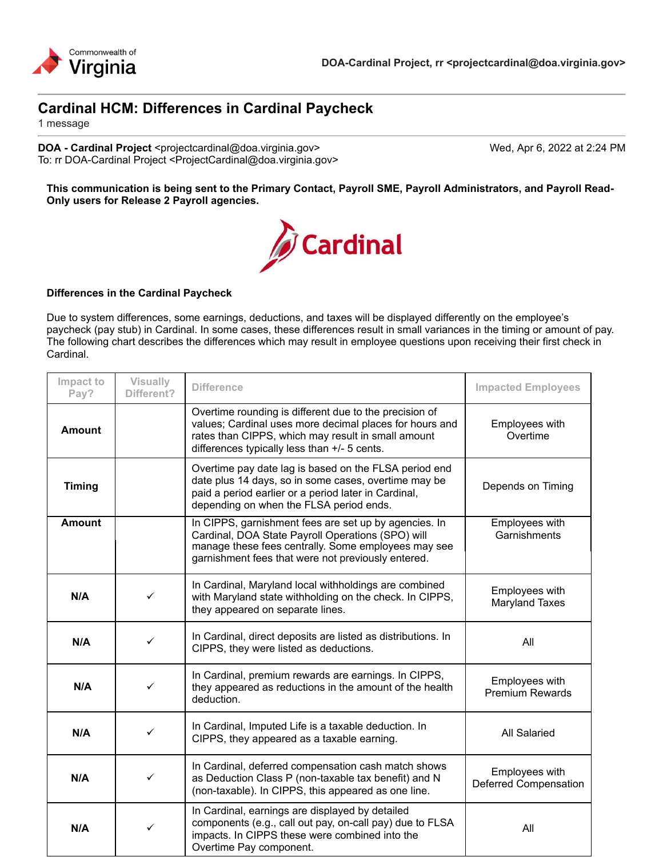

# **Cardinal HCM: Differences in Cardinal Paycheck**

1 message

**DOA - Cardinal Project** <projectcardinal@doa.virginia.gov> Wed, Apr 6, 2022 at 2:24 PM To: rr DOA-Cardinal Project <ProjectCardinal@doa.virginia.gov>

**This communication is being sent to the Primary Contact, Payroll SME, Payroll Administrators, and Payroll Read-Only users for Release 2 Payroll agencies.**



#### **Differences in the Cardinal Paycheck**

Due to system differences, some earnings, deductions, and taxes will be displayed differently on the employee's paycheck (pay stub) in Cardinal. In some cases, these differences result in small variances in the timing or amount of pay. The following chart describes the differences which may result in employee questions upon receiving their first check in Cardinal.

| Impact to<br>Pay? | <b>Visually</b><br>Different? | <b>Difference</b>                                                                                                                                                                                                       | <b>Impacted Employees</b>                |
|-------------------|-------------------------------|-------------------------------------------------------------------------------------------------------------------------------------------------------------------------------------------------------------------------|------------------------------------------|
| <b>Amount</b>     |                               | Overtime rounding is different due to the precision of<br>values; Cardinal uses more decimal places for hours and<br>rates than CIPPS, which may result in small amount<br>differences typically less than +/- 5 cents. | Employees with<br>Overtime               |
| <b>Timing</b>     |                               | Overtime pay date lag is based on the FLSA period end<br>date plus 14 days, so in some cases, overtime may be<br>paid a period earlier or a period later in Cardinal,<br>depending on when the FLSA period ends.        | Depends on Timing                        |
| <b>Amount</b>     |                               | In CIPPS, garnishment fees are set up by agencies. In<br>Cardinal, DOA State Payroll Operations (SPO) will<br>manage these fees centrally. Some employees may see<br>garnishment fees that were not previously entered. | Employees with<br>Garnishments           |
| N/A               | $\checkmark$                  | In Cardinal, Maryland local withholdings are combined<br>with Maryland state withholding on the check. In CIPPS,<br>they appeared on separate lines.                                                                    | Employees with<br><b>Maryland Taxes</b>  |
| N/A               | $\checkmark$                  | In Cardinal, direct deposits are listed as distributions. In<br>CIPPS, they were listed as deductions.                                                                                                                  | All                                      |
| N/A               | ✓                             | In Cardinal, premium rewards are earnings. In CIPPS,<br>they appeared as reductions in the amount of the health<br>deduction.                                                                                           | Employees with<br><b>Premium Rewards</b> |
| N/A               | $\checkmark$                  | In Cardinal, Imputed Life is a taxable deduction. In<br>CIPPS, they appeared as a taxable earning.                                                                                                                      | All Salaried                             |
| N/A               | $\checkmark$                  | In Cardinal, deferred compensation cash match shows<br>as Deduction Class P (non-taxable tax benefit) and N<br>(non-taxable). In CIPPS, this appeared as one line.                                                      | Employees with<br>Deferred Compensation  |
| N/A               | $\checkmark$                  | In Cardinal, earnings are displayed by detailed<br>components (e.g., call out pay, on-call pay) due to FLSA<br>impacts. In CIPPS these were combined into the<br>Overtime Pay component.                                | All                                      |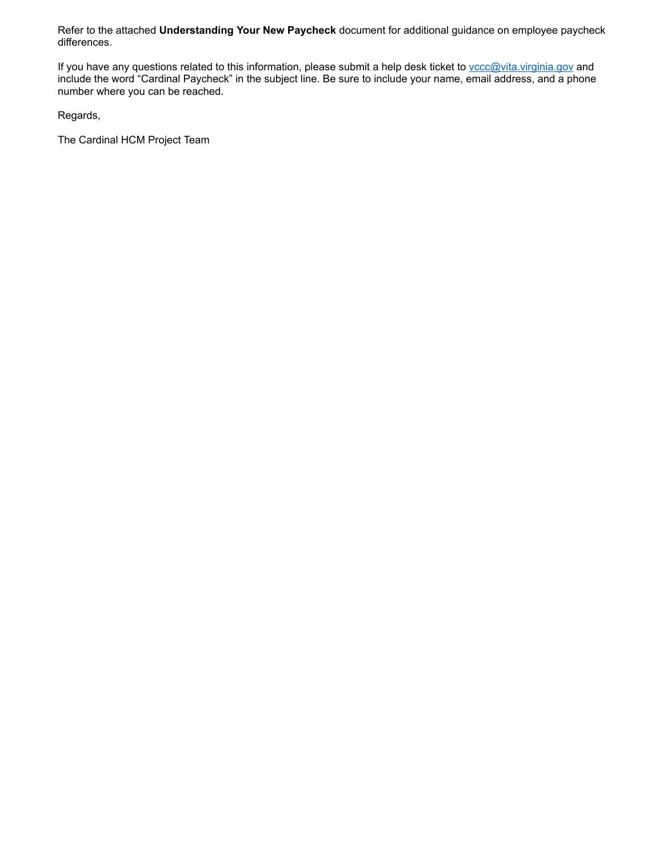Refer to the attached **Understanding Your New Paycheck** document for additional guidance on employee paycheck differences.

If you have any questions related to this information, please submit a help desk ticket to vccc@vita.virginia.gov and include the word "Cardinal Paycheck" in the subject line. Be sure to include your name, email address, and a phone number where you can be reached.

Regards,

The Cardinal HCM Project Team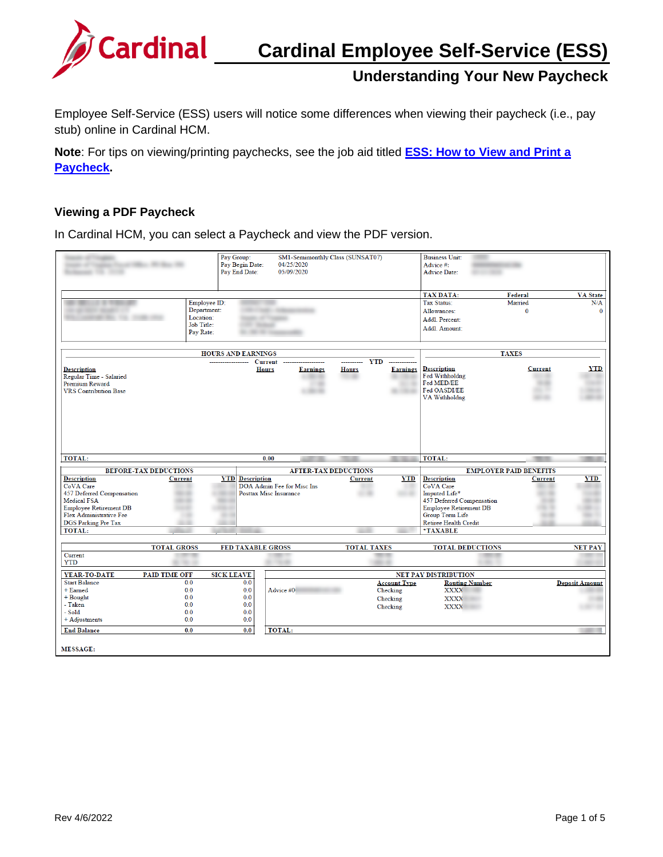

Employee Self-Service (ESS) users will notice some differences when viewing their paycheck (i.e., pay stub) online in Cardinal HCM.

**Note**: For tips on viewing/printing paychecks, see the job aid titled **[ESS: How to View and Print a](https://cardinalproject.virginiainteractive.org/sites/default/files/2021-09/ESS%20How%20to%20View%20and%20Print%20a%20Paycheck_W-2.pdf)  [Paycheck.](https://cardinalproject.virginiainteractive.org/sites/default/files/2021-09/ESS%20How%20to%20View%20and%20Print%20a%20Paycheck_W-2.pdf)** 

#### **Viewing a PDF Paycheck**

In Cardinal HCM, you can select a Paycheck and view the PDF version.

|                                                                                                 |                                                | Pay Group:<br>Pay Begin Date:<br>Pay End Date:                      |                            | 04/25/2020<br>05/09/2020 | SM1-Semimonthly Class (SUNSAT07)              |                     | <b>Business Unit:</b><br>Advice #:<br><b>Advice Date:</b>                           |                                                 |                                        |
|-------------------------------------------------------------------------------------------------|------------------------------------------------|---------------------------------------------------------------------|----------------------------|--------------------------|-----------------------------------------------|---------------------|-------------------------------------------------------------------------------------|-------------------------------------------------|----------------------------------------|
|                                                                                                 |                                                | Employee ID:<br>Department:<br>Location:<br>Job Title:<br>Pay Rate: | . .                        |                          |                                               |                     | <b>TAX DATA:</b><br>Tax Status:<br>Allowances:<br>Addl. Percent:<br>Addl. Amount:   | Federal<br>Married<br>$\mathbf{0}$              | <b>VA</b> State<br>N/A<br>$\mathbf{0}$ |
|                                                                                                 |                                                |                                                                     |                            |                          |                                               |                     |                                                                                     |                                                 |                                        |
|                                                                                                 |                                                | <b>HOURS AND EARNINGS</b>                                           | <b>Current</b>             |                          |                                               | <b>YTD</b>          |                                                                                     | <b>TAXES</b>                                    |                                        |
| <b>Description</b><br>Regular Time - Salaried<br>Premium Reward<br><b>VRS</b> Contribution Base |                                                |                                                                     | <b>Hours</b>               | <b>Earnings</b>          | <b>Hours</b>                                  | <b>Earnings</b>     | <b>Description</b><br>Fed Withholdng<br>Fed MED/EE<br>Fed OASDI/EE<br>VA Withholdng | <b>Current</b>                                  | <b>YTD</b>                             |
| TOTAL:                                                                                          |                                                |                                                                     | 0.00                       |                          |                                               |                     | <b>TOTAL:</b>                                                                       |                                                 |                                        |
|                                                                                                 |                                                |                                                                     |                            |                          |                                               |                     |                                                                                     |                                                 |                                        |
| <b>Description</b>                                                                              | <b>BEFORE-TAX DEDUCTIONS</b><br><b>Current</b> | <b>YTD</b> Description                                              |                            |                          | <b>AFTER-TAX DEDUCTIONS</b><br><b>Current</b> | YTD                 | <b>Description</b>                                                                  | <b>EMPLOYER PAID BENEFITS</b><br><b>Current</b> | <b>YTD</b>                             |
| CoVA Care                                                                                       |                                                |                                                                     | DOA Admin Fee for Misc Ins |                          |                                               |                     | CoVA Care                                                                           |                                                 |                                        |
| 457 Deferred Compensation                                                                       |                                                |                                                                     | Posttax Misc Insurance     |                          |                                               |                     | Imputed Life*                                                                       |                                                 |                                        |
| <b>Medical FSA</b>                                                                              |                                                |                                                                     |                            |                          |                                               |                     | 457 Deferred Compensation                                                           |                                                 |                                        |
| <b>Employee Retirement DB</b>                                                                   |                                                |                                                                     |                            |                          |                                               |                     | <b>Employee Retirement DB</b>                                                       |                                                 |                                        |
| Flex Administrative Fee                                                                         |                                                |                                                                     |                            |                          |                                               |                     | Group Term Life                                                                     |                                                 |                                        |
| <b>DGS Parking Pre Tax</b>                                                                      |                                                |                                                                     |                            |                          |                                               |                     | Retiree Health Credit                                                               |                                                 |                                        |
| <b>TOTAL:</b>                                                                                   |                                                |                                                                     |                            |                          |                                               |                     | *TAXABLE                                                                            |                                                 |                                        |
|                                                                                                 | <b>TOTAL GROSS</b>                             |                                                                     | <b>FED TAXABLE GROSS</b>   |                          | <b>TOTAL TAXES</b>                            |                     | <b>TOTAL DEDUCTIONS</b>                                                             |                                                 | <b>NET PAY</b>                         |
| Current                                                                                         |                                                |                                                                     |                            |                          |                                               |                     |                                                                                     |                                                 |                                        |
| <b>YTD</b>                                                                                      |                                                |                                                                     | . .                        |                          |                                               |                     |                                                                                     |                                                 |                                        |
| YEAR-TO-DATE                                                                                    | <b>PAID TIME OFF</b>                           | <b>SICK LEAVE</b>                                                   |                            |                          |                                               |                     | <b>NET PAY DISTRIBUTION</b>                                                         |                                                 |                                        |
| <b>Start Balance</b>                                                                            | 0.0                                            | 0.0                                                                 |                            |                          |                                               | <b>Account Type</b> | <b>Routing Number</b>                                                               |                                                 | <b>Deposit Amount</b>                  |
| + Earned                                                                                        | 0.0                                            | 0.0                                                                 | Advice #0                  |                          |                                               | Checking            | <b>XXXX</b>                                                                         |                                                 |                                        |
| $+$ Bought                                                                                      | 0.0                                            | 0.0                                                                 |                            |                          |                                               | Checking            | <b>XXXX</b>                                                                         |                                                 |                                        |
| - Taken                                                                                         | 0.0                                            | 0.0                                                                 |                            |                          |                                               | Checking            | <b>XXXX</b>                                                                         |                                                 |                                        |
| - Sold                                                                                          | 0.0                                            | 0.0                                                                 |                            |                          |                                               |                     |                                                                                     |                                                 |                                        |
| + Adjustments                                                                                   | 0.0                                            | 0.0                                                                 |                            |                          |                                               |                     |                                                                                     |                                                 |                                        |
| <b>End Balance</b>                                                                              | 0.0                                            | 0.0                                                                 | TOTAL:                     |                          |                                               |                     |                                                                                     |                                                 |                                        |
| <b>MESSAGE:</b>                                                                                 |                                                |                                                                     |                            |                          |                                               |                     |                                                                                     |                                                 |                                        |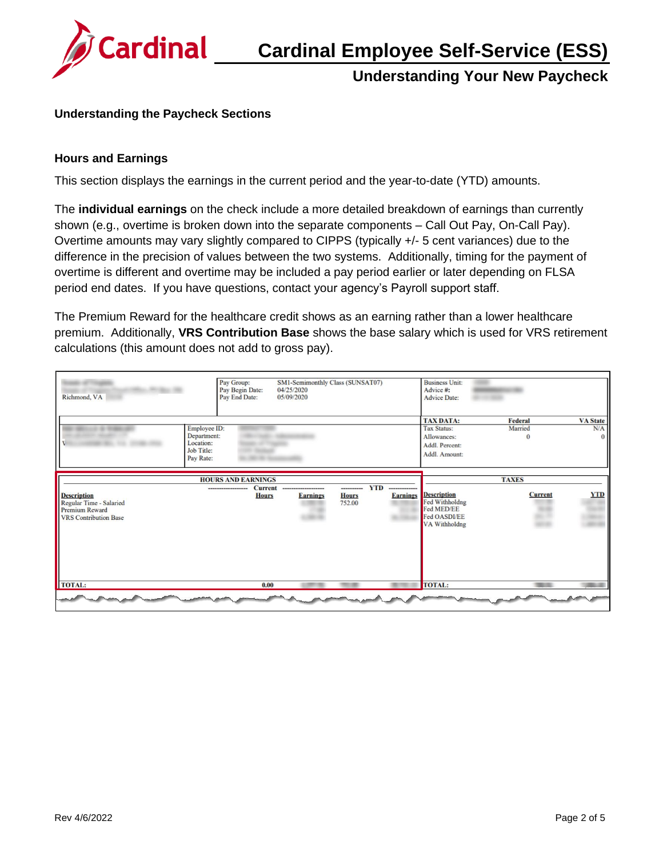

### **Understanding the Paycheck Sections**

#### **Hours and Earnings**

This section displays the earnings in the current period and the year-to-date (YTD) amounts.

The **individual earnings** on the check include a more detailed breakdown of earnings than currently shown (e.g., overtime is broken down into the separate components – Call Out Pay, On-Call Pay). Overtime amounts may vary slightly compared to CIPPS (typically +/- 5 cent variances) due to the difference in the precision of values between the two systems. Additionally, timing for the payment of overtime is different and overtime may be included a pay period earlier or later depending on FLSA period end dates. If you have questions, contact your agency's Payroll support staff.

The Premium Reward for the healthcare credit shows as an earning rather than a lower healthcare premium. Additionally, **VRS Contribution Base** shows the base salary which is used for VRS retirement calculations (this amount does not add to gross pay).

| Richmond, VA                                                                                           | Pay Group:<br>Pay Begin Date:<br>Pay End Date:                      | 04/25/2020<br>05/09/2020                              | SM1-Semimonthly Class (SUNSAT07)     |                                                 | <b>Business Unit:</b><br>Advice #:<br><b>Advice Date:</b>                           |                                |                                    |
|--------------------------------------------------------------------------------------------------------|---------------------------------------------------------------------|-------------------------------------------------------|--------------------------------------|-------------------------------------------------|-------------------------------------------------------------------------------------|--------------------------------|------------------------------------|
|                                                                                                        | Employee ID:<br>Department:<br>Location:<br>Job Title:<br>Pay Rate: |                                                       |                                      |                                                 | <b>TAX DATA:</b><br>Tax Status:<br>Allowances:<br>Addl. Percent:<br>Addl. Amount:   | Federal<br>Married<br>$\Omega$ | <b>VA State</b><br>N/A<br>$\Omega$ |
| <b>Description</b><br>Regular Time - Salaried<br><b>Premium Reward</b><br><b>VRS</b> Contribution Base | <b>HOURS AND EARNINGS</b>                                           | <b>Current</b><br><br><b>Hours</b><br><b>Earnings</b> | ----------<br><b>Hours</b><br>752.00 | <b>YTD</b><br>--------------<br><b>Earnings</b> | <b>Description</b><br>Fed Withholdng<br>Fed MED/EE<br>Fed OASDI/EE<br>VA Withholdng | <b>TAXES</b><br><b>Current</b> | <b>YTD</b>                         |
| <b>TOTAL:</b>                                                                                          |                                                                     | 0.00                                                  |                                      |                                                 | <b>TOTAL:</b>                                                                       |                                |                                    |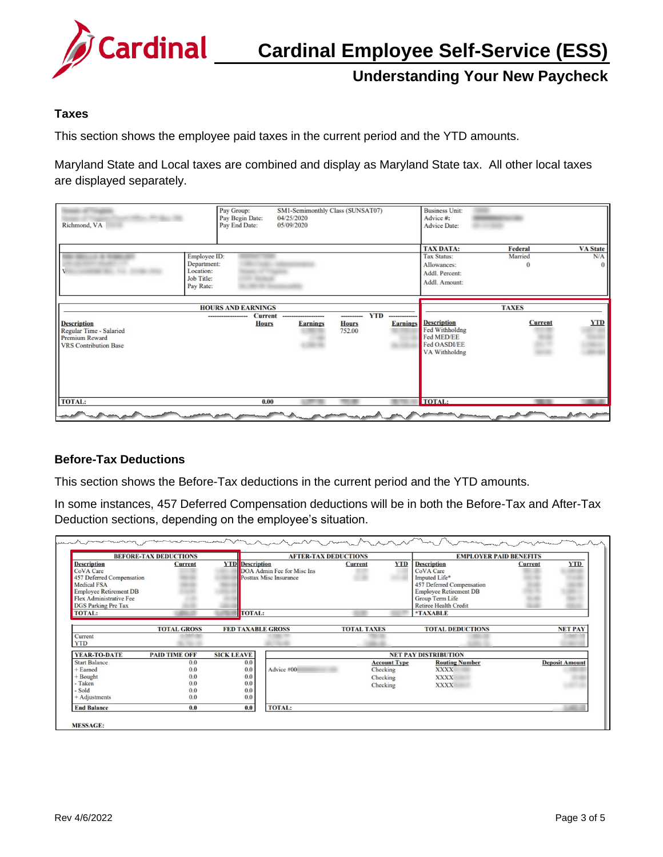

## **Taxes**

This section shows the employee paid taxes in the current period and the YTD amounts.

Maryland State and Local taxes are combined and display as Maryland State tax. All other local taxes are displayed separately.

| Micro Micropher 188<br>Richmond, VA                                                                    | Pay Group:<br>Pay Begin Date:<br>Pay End Date:  | SM1-Semimonthly Class (SUNSAT07)<br>04/25/2020<br>05/09/2020 |                           |                 | <b>Business Unit:</b><br>Advice #:<br><b>Advice Date:</b>                                |                    |                        |
|--------------------------------------------------------------------------------------------------------|-------------------------------------------------|--------------------------------------------------------------|---------------------------|-----------------|------------------------------------------------------------------------------------------|--------------------|------------------------|
| Employee ID:<br>Department:<br>Location:<br>Job Title:<br>Pay Rate:                                    |                                                 |                                                              |                           |                 | <b>TAX DATA:</b><br><b>Tax Status:</b><br>Allowances:<br>Addl. Percent:<br>Addl. Amount: | Federal<br>Married | <b>VA</b> State<br>N/A |
|                                                                                                        | <b>HOURS AND EARNINGS</b><br><b>Current</b><br> | -------------------                                          | <b>YTD</b><br>----------- | --------------  |                                                                                          | <b>TAXES</b>       |                        |
| <b>Description</b><br>Regular Time - Salaried<br><b>Premium Reward</b><br><b>VRS</b> Contribution Base | <b>Hours</b>                                    | <b>Earnings</b>                                              | <b>Hours</b><br>752.00    | <b>Earnings</b> | <b>Description</b><br>Fed Withholdng<br>Fed MED/EE<br>Fed OASDI/EE<br>VA Withholdng      | <b>Current</b>     | <b>YTD</b>             |
| <b>TOTAL:</b>                                                                                          | 0.00                                            |                                                              |                           |                 | <b>TOTAL:</b>                                                                            |                    |                        |

#### **Before-Tax Deductions**

This section shows the Before-Tax deductions in the current period and the YTD amounts.

In some instances, 457 Deferred Compensation deductions will be in both the Before-Tax and After-Tax Deduction sections, depending on the employee's situation.

|                                                                                                                                                                              | <b>BEFORE-TAX DEDUCTIONS</b> |                          | <b>AFTER-TAX DEDUCTIONS</b>                                 |                     | <b>EMPLOYER PAID BENEFITS</b> |                                                                                                                                                            |                |                       |
|------------------------------------------------------------------------------------------------------------------------------------------------------------------------------|------------------------------|--------------------------|-------------------------------------------------------------|---------------------|-------------------------------|------------------------------------------------------------------------------------------------------------------------------------------------------------|----------------|-----------------------|
| <b>Description</b><br>CoVA Care<br>457 Deferred Compensation<br><b>Medical FSA</b><br><b>Employee Retirement DB</b><br>Flex Administrative Fee<br><b>DGS Parking Pre Tax</b> | <b>Current</b>               | <b>YTD</b> Description   | DOA Admin Fee for Misc Ins<br><b>Posttax Misc Insurance</b> | <b>Current</b>      | <b>YTD</b>                    | <b>Description</b><br>CoVA Care<br>Imputed Life*<br>457 Deferred Compensation<br><b>Employee Retirement DB</b><br>Group Term Life<br>Retiree Health Credit | <b>Current</b> | <b>YTD</b>            |
| <b>TOTAL:</b>                                                                                                                                                                |                              | <b>TOTAL:</b>            |                                                             |                     |                               | <b>*TAXABLE</b>                                                                                                                                            |                |                       |
|                                                                                                                                                                              | <b>TOTAL GROSS</b>           | <b>FED TAXABLE GROSS</b> |                                                             | <b>TOTAL TAXES</b>  |                               | <b>TOTAL DEDUCTIONS</b>                                                                                                                                    |                | <b>NET PAY</b>        |
| Current<br><b>YTD</b>                                                                                                                                                        |                              |                          |                                                             |                     |                               |                                                                                                                                                            |                |                       |
| YEAR-TO-DATE                                                                                                                                                                 | <b>PAID TIME OFF</b>         | <b>SICK LEAVE</b>        |                                                             |                     |                               | <b>NET PAY DISTRIBUTION</b>                                                                                                                                |                |                       |
| <b>Start Balance</b>                                                                                                                                                         | 0.0                          | 0.0                      |                                                             | <b>Account Type</b> |                               | <b>Routing Number</b>                                                                                                                                      |                | <b>Deposit Amount</b> |
| - Earned                                                                                                                                                                     | 0.0                          | 0.0                      | Advice #00                                                  | Checking            |                               | <b>XXXX</b>                                                                                                                                                |                |                       |
| $+$ Bought                                                                                                                                                                   | 0.0                          | 0.0                      |                                                             | Checking            |                               | <b>XXXX</b>                                                                                                                                                |                |                       |
| - Taken                                                                                                                                                                      | 0.0                          | 0.0                      |                                                             | Checking            |                               | <b>XXXX</b>                                                                                                                                                |                |                       |
| <b>Sold</b>                                                                                                                                                                  | 0.0                          | 0.0                      |                                                             |                     |                               |                                                                                                                                                            |                |                       |
| $+$ Adjustments                                                                                                                                                              | 0.0                          | 0.0                      |                                                             |                     |                               |                                                                                                                                                            |                |                       |
|                                                                                                                                                                              | 0.0                          | 0.0                      | <b>TOTAL:</b>                                               |                     |                               |                                                                                                                                                            |                |                       |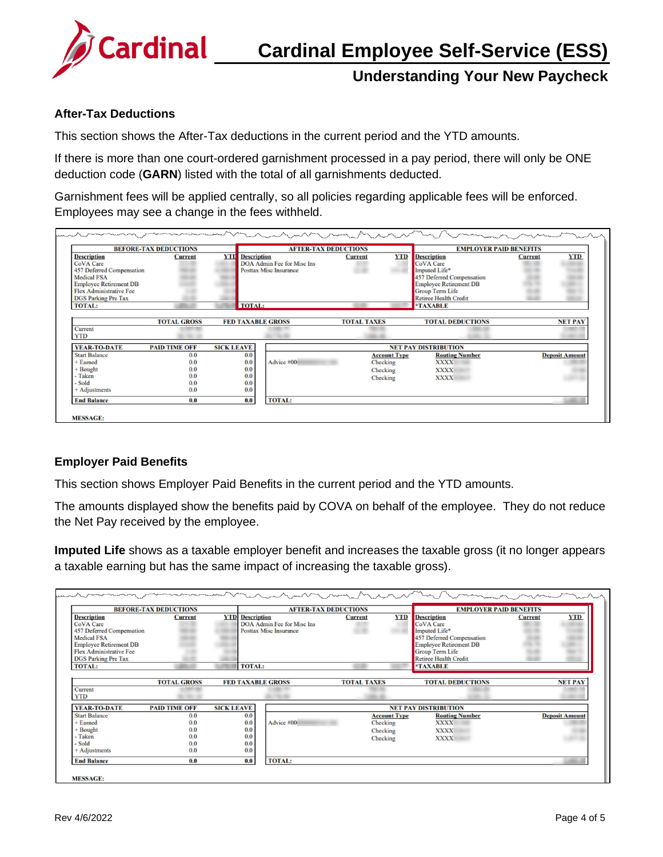

#### **After-Tax Deductions**

This section shows the After-Tax deductions in the current period and the YTD amounts.

If there is more than one court-ordered garnishment processed in a pay period, there will only be ONE deduction code (**GARN**) listed with the total of all garnishments deducted.

Garnishment fees will be applied centrally, so all policies regarding applicable fees will be enforced. Employees may see a change in the fees withheld.

|                                                                                                                                                                                     | <b>BEFORE-TAX DEDUCTIONS</b>           |                                        | <b>AFTER-TAX DEDUCTIONS</b>                                 |                                                         | <b>EMPLOYER PAID BENEFITS</b> |                                                                                                                                                                          |                |                       |
|-------------------------------------------------------------------------------------------------------------------------------------------------------------------------------------|----------------------------------------|----------------------------------------|-------------------------------------------------------------|---------------------------------------------------------|-------------------------------|--------------------------------------------------------------------------------------------------------------------------------------------------------------------------|----------------|-----------------------|
| <b>Description</b><br><b>CoVA</b> Care<br>457 Deferred Compensation<br><b>Medical FSA</b><br><b>Employee Retirement DB</b><br>Flex Administrative Fee<br><b>DGS Parking Pre Tax</b> | <b>Current</b>                         | <b>YTD</b> Description                 | DOA Admin Fee for Misc Ins<br><b>Posttax Misc Insurance</b> | <b>Current</b>                                          | <b>YTD</b>                    | <b>Description</b><br>CoVA Care<br>Imputed Life*<br>457 Deferred Compensation<br><b>Employee Retirement DB</b><br><b>Group Term Life</b><br><b>Retiree Health Credit</b> | <b>Current</b> | <b>YTD</b>            |
| <b>TOTAL:</b>                                                                                                                                                                       |                                        | <b>TOTAL:</b>                          |                                                             |                                                         |                               | <b>*TAXABLE</b>                                                                                                                                                          |                |                       |
| Current<br><b>YTD</b>                                                                                                                                                               | <b>TOTAL GROSS</b>                     | <b>FED TAXABLE GROSS</b>               |                                                             | <b>TOTAL TAXES</b>                                      |                               | <b>TOTAL DEDUCTIONS</b>                                                                                                                                                  |                | <b>NET PAY</b>        |
| <b>YEAR-TO-DATE</b>                                                                                                                                                                 | <b>PAID TIME OFF</b>                   | <b>SICK LEAVE</b>                      |                                                             |                                                         |                               | <b>NET PAY DISTRIBUTION</b>                                                                                                                                              |                |                       |
| <b>Start Balance</b><br><b>Earned</b><br>+ Bought<br>Taken<br>- Sold<br>$+$ Adjustments                                                                                             | 0.0<br>0.0<br>0.0<br>0.0<br>0.0<br>0.0 | 0.0<br>0.0<br>0.0<br>0.0<br>0.0<br>0.0 | Advice #00                                                  | <b>Account Type</b><br>Checking<br>Checking<br>Checking |                               | <b>Routing Number</b><br><b>XXXX</b><br><b>XXXX</b><br><b>XXXX</b>                                                                                                       |                | <b>Deposit Amount</b> |
| <b>End Balance</b>                                                                                                                                                                  | 0.0                                    | 0.0                                    | <b>TOTAL:</b>                                               |                                                         |                               |                                                                                                                                                                          |                |                       |

#### **Employer Paid Benefits**

This section shows Employer Paid Benefits in the current period and the YTD amounts.

The amounts displayed show the benefits paid by COVA on behalf of the employee. They do not reduce the Net Pay received by the employee.

**Imputed Life** shows as a taxable employer benefit and increases the taxable gross (it no longer appears a taxable earning but has the same impact of increasing the taxable gross).

|                                                                                                                                                                              | <b>BEFORE-TAX DEDUCTIONS</b>           |                                        | <b>AFTER-TAX DEDUCTIONS</b>                                 |                                                         | <b>EMPLOYER PAID BENEFITS</b> |                                                                                                                                                                          |                |                       |
|------------------------------------------------------------------------------------------------------------------------------------------------------------------------------|----------------------------------------|----------------------------------------|-------------------------------------------------------------|---------------------------------------------------------|-------------------------------|--------------------------------------------------------------------------------------------------------------------------------------------------------------------------|----------------|-----------------------|
| <b>Description</b><br>CoVA Care<br>457 Deferred Compensation<br><b>Medical FSA</b><br><b>Employee Retirement DB</b><br>Flex Administrative Fee<br><b>DGS</b> Parking Pre Tax | <b>Current</b>                         | <b>YTD</b> Description                 | DOA Admin Fee for Misc Ins<br><b>Posttax Misc Insurance</b> | <b>Current</b>                                          | <b>YTD</b>                    | <b>Description</b><br>CoVA Care<br>Imputed Life*<br>457 Deferred Compensation<br><b>Employee Retirement DB</b><br><b>Group Term Life</b><br><b>Retiree Health Credit</b> | <b>Current</b> | <b>YTD</b>            |
| <b>TOTAL:</b>                                                                                                                                                                |                                        |                                        | <b>TOTAL:</b>                                               |                                                         |                               | <b>*TAXABLE</b>                                                                                                                                                          |                |                       |
| Current<br><b>YTD</b>                                                                                                                                                        | <b>TOTAL GROSS</b>                     |                                        | <b>FED TAXABLE GROSS</b>                                    | <b>TOTAL TAXES</b>                                      |                               | <b>TOTAL DEDUCTIONS</b>                                                                                                                                                  |                | <b>NET PAY</b>        |
| YEAR-TO-DATE                                                                                                                                                                 | <b>PAID TIME OFF</b>                   | <b>SICK LEAVE</b>                      |                                                             |                                                         |                               | <b>NET PAY DISTRIBUTION</b>                                                                                                                                              |                |                       |
| <b>Start Balance</b><br>Earned<br>Bought<br>Taken<br>- Sold<br>$+$ Adjustments                                                                                               | 0.0<br>0.0<br>0.0<br>0.0<br>0.0<br>0.0 | 0.0<br>0.0<br>0.0<br>0.0<br>0.0<br>0.0 | Advice #00                                                  | <b>Account Type</b><br>Checking<br>Checking<br>Checking |                               | <b>Routing Number</b><br><b>XXXX</b><br><b>XXXX</b><br><b>XXXX</b>                                                                                                       |                | <b>Deposit Amount</b> |
|                                                                                                                                                                              | 0.0                                    | 0.0                                    | <b>TOTAL:</b>                                               |                                                         |                               |                                                                                                                                                                          |                |                       |